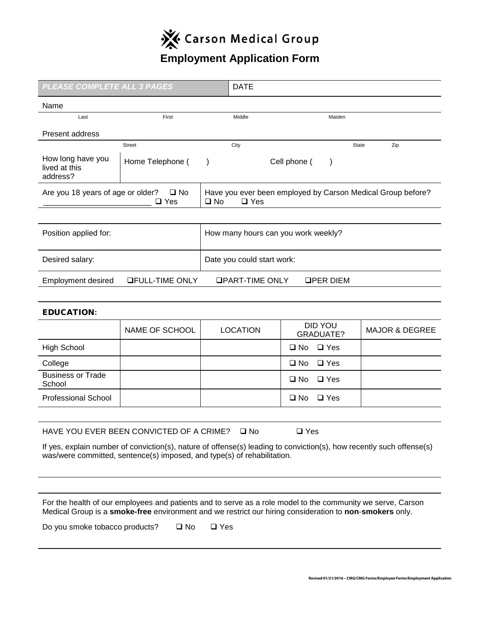

# **Employment Application Form**

| PLEASE COMPLETE ALL 3 PAGES                                                                                                                                                                                            |                                               |                                                                                           | <b>DATE</b>                         |               |                             |       |                           |
|------------------------------------------------------------------------------------------------------------------------------------------------------------------------------------------------------------------------|-----------------------------------------------|-------------------------------------------------------------------------------------------|-------------------------------------|---------------|-----------------------------|-------|---------------------------|
| Name                                                                                                                                                                                                                   |                                               |                                                                                           |                                     |               |                             |       |                           |
| Last                                                                                                                                                                                                                   | First                                         |                                                                                           | Middle                              |               | Maiden                      |       |                           |
| Present address                                                                                                                                                                                                        |                                               |                                                                                           |                                     |               |                             |       |                           |
|                                                                                                                                                                                                                        | <b>Street</b>                                 |                                                                                           | City                                |               |                             | State | Zip                       |
| How long have you<br>lived at this<br>address?                                                                                                                                                                         | Home Telephone (                              | $\lambda$                                                                                 |                                     | Cell phone (  | $\lambda$                   |       |                           |
| Are you 18 years of age or older?<br>$\square$ No<br>$\square$ Yes                                                                                                                                                     |                                               | Have you ever been employed by Carson Medical Group before?<br>$\square$ No<br>$\Box$ Yes |                                     |               |                             |       |                           |
|                                                                                                                                                                                                                        |                                               |                                                                                           |                                     |               |                             |       |                           |
| Position applied for:                                                                                                                                                                                                  |                                               |                                                                                           | How many hours can you work weekly? |               |                             |       |                           |
| Desired salary:                                                                                                                                                                                                        |                                               |                                                                                           | Date you could start work:          |               |                             |       |                           |
| <b>Employment desired</b>                                                                                                                                                                                              | <b>OFULL-TIME ONLY</b>                        |                                                                                           | <b>OPART-TIME ONLY</b>              |               | <b>QPER DIEM</b>            |       |                           |
|                                                                                                                                                                                                                        |                                               |                                                                                           |                                     |               |                             |       |                           |
| <b>EDUCATION:</b>                                                                                                                                                                                                      |                                               |                                                                                           |                                     |               |                             |       |                           |
|                                                                                                                                                                                                                        | NAME OF SCHOOL                                |                                                                                           | <b>LOCATION</b>                     |               | <b>DID YOU</b><br>GRADUATE? |       | <b>MAJOR &amp; DEGREE</b> |
| <b>High School</b>                                                                                                                                                                                                     |                                               |                                                                                           |                                     | $\square$ No  | $\Box$ Yes                  |       |                           |
| College                                                                                                                                                                                                                |                                               |                                                                                           |                                     | $\square$ No  | $\square$ Yes               |       |                           |
| <b>Business or Trade</b><br>School                                                                                                                                                                                     |                                               |                                                                                           |                                     | $\square$ No  | $\Box$ Yes                  |       |                           |
| <b>Professional School</b>                                                                                                                                                                                             |                                               |                                                                                           |                                     | $\square$ No  | $\Box$ Yes                  |       |                           |
|                                                                                                                                                                                                                        |                                               |                                                                                           |                                     |               |                             |       |                           |
|                                                                                                                                                                                                                        | HAVE YOU EVER BEEN CONVICTED OF A CRIME? □ No |                                                                                           |                                     | $\square$ Yes |                             |       |                           |
| If yes, explain number of conviction(s), nature of offense(s) leading to conviction(s), how recently such offense(s)<br>was/were committed, sentence(s) imposed, and type(s) of rehabilitation.                        |                                               |                                                                                           |                                     |               |                             |       |                           |
|                                                                                                                                                                                                                        |                                               |                                                                                           |                                     |               |                             |       |                           |
| For the health of our employees and patients and to serve as a role model to the community we serve, Carson<br>Medical Group is a smoke-free environment and we restrict our hiring consideration to non-smokers only. |                                               |                                                                                           |                                     |               |                             |       |                           |
| Do you smoke tobacco products?<br>$\square$ No<br>$\square$ Yes                                                                                                                                                        |                                               |                                                                                           |                                     |               |                             |       |                           |
|                                                                                                                                                                                                                        |                                               |                                                                                           |                                     |               |                             |       |                           |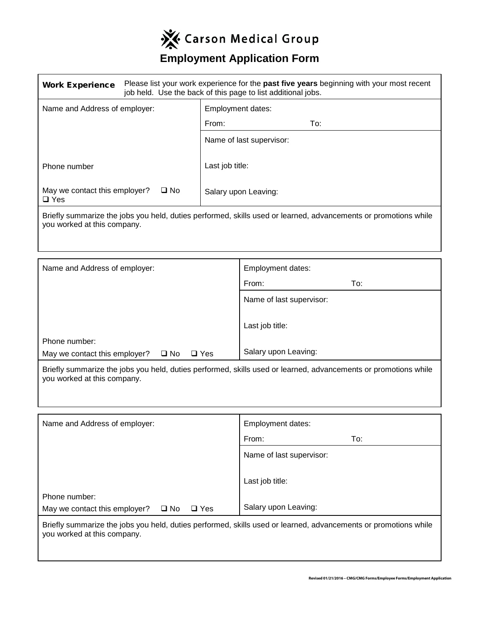

## **Employment Application Form**

| <b>Work Experience</b>                                                                                                                         | Please list your work experience for the <b>past five years</b> beginning with your most recent<br>job held. Use the back of this page to list additional jobs. |                          |     |  |
|------------------------------------------------------------------------------------------------------------------------------------------------|-----------------------------------------------------------------------------------------------------------------------------------------------------------------|--------------------------|-----|--|
| Name and Address of employer:                                                                                                                  |                                                                                                                                                                 | Employment dates:        |     |  |
|                                                                                                                                                |                                                                                                                                                                 | From:                    | To: |  |
|                                                                                                                                                |                                                                                                                                                                 | Name of last supervisor: |     |  |
| Phone number                                                                                                                                   |                                                                                                                                                                 | Last job title:          |     |  |
| May we contact this employer?<br>$\Box$ Yes                                                                                                    | $\square$ No                                                                                                                                                    | Salary upon Leaving:     |     |  |
| Briefly summarize the jobs you held, duties performed, skills used or learned, advancements or promotions while<br>you worked at this company. |                                                                                                                                                                 |                          |     |  |

| Name and Address of employer:                                                                                            | Employment dates:        |  |
|--------------------------------------------------------------------------------------------------------------------------|--------------------------|--|
|                                                                                                                          | From:<br>To:             |  |
|                                                                                                                          | Name of last supervisor: |  |
|                                                                                                                          | Last job title:          |  |
| Phone number:<br>May we contact this employer?<br>$\square$ No<br>$\Box$ Yes                                             | Salary upon Leaving:     |  |
| the contract of the contract of the contract of the contract of the contract of the contract of the contract of<br>- - - |                          |  |

Briefly summarize the jobs you held, duties performed, skills used or learned, advancements or promotions while you worked at this company.

| Name and Address of employer:                                                | Employment dates:        |
|------------------------------------------------------------------------------|--------------------------|
|                                                                              | From:<br>To:             |
|                                                                              | Name of last supervisor: |
|                                                                              | Last job title:          |
| Phone number:<br>May we contact this employer?<br>$\square$ No<br>$\Box$ Yes | Salary upon Leaving:     |

Briefly summarize the jobs you held, duties performed, skills used or learned, advancements or promotions while you worked at this company.